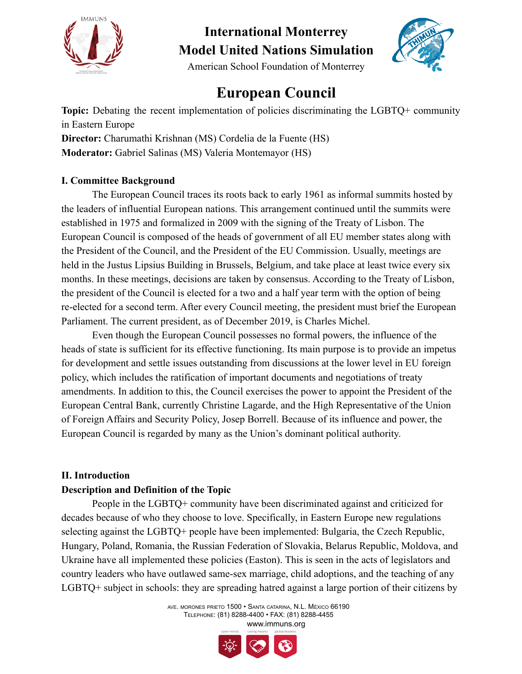

American School Foundation of Monterrey

### **European Council**

**Topic:** Debating the recent implementation of policies discriminating the LGBTQ+ community in Eastern Europe

**Director:** Charumathi Krishnan (MS) Cordelia de la Fuente (HS) **Moderator:** Gabriel Salinas (MS) Valeria Montemayor (HS)

### **I. Committee Background**

The European Council traces its roots back to early 1961 as informal summits hosted by the leaders of influential European nations. This arrangement continued until the summits were established in 1975 and formalized in 2009 with the signing of the Treaty of Lisbon. The European Council is composed of the heads of government of all EU member states along with the President of the Council, and the President of the EU Commission. Usually, meetings are held in the Justus Lipsius Building in Brussels, Belgium, and take place at least twice every six months. In these meetings, decisions are taken by consensus. According to the Treaty of Lisbon, the president of the Council is elected for a two and a half year term with the option of being re-elected for a second term. After every Council meeting, the president must brief the European Parliament. The current president, as of December 2019, is Charles Michel.

Even though the European Council possesses no formal powers, the influence of the heads of state is sufficient for its effective functioning. Its main purpose is to provide an impetus for development and settle issues outstanding from discussions at the lower level in EU foreign policy, which includes the ratification of important documents and negotiations of treaty amendments. In addition to this, the Council exercises the power to appoint the President of the European Central Bank, currently Christine Lagarde, and the High Representative of the Union of Foreign Affairs and Security Policy, Josep Borrell. Because of its influence and power, the European Council is regarded by many as the Union's dominant political authority.

#### **II. Introduction**

#### **Description and Definition of the Topic**

People in the LGBTQ+ community have been discriminated against and criticized for decades because of who they choose to love. Specifically, in Eastern Europe new regulations selecting against the LGBTQ+ people have been implemented: Bulgaria, the Czech Republic, Hungary, Poland, Romania, the Russian Federation of Slovakia, Belarus Republic, Moldova, and Ukraine have all implemented these policies (Easton). This is seen in the acts of legislators and country leaders who have outlawed same-sex marriage, child adoptions, and the teaching of any LGBTQ+ subject in schools: they are spreading hatred against a large portion of their citizens by

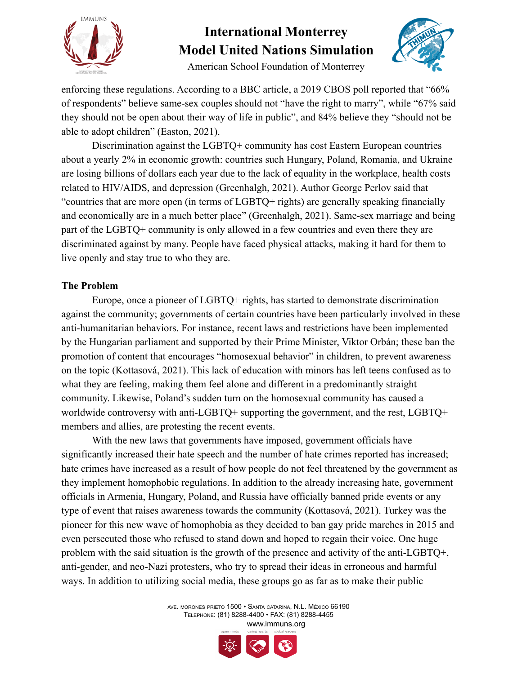



American School Foundation of Monterrey

enforcing these regulations. According to a BBC article, a 2019 CBOS poll reported that "66% of respondents" believe same-sex couples should not "have the right to marry", while "67% said they should not be open about their way of life in public", and 84% believe they "should not be able to adopt children" (Easton, 2021).

Discrimination against the LGBTQ+ community has cost Eastern European countries about a yearly 2% in economic growth: countries such Hungary, Poland, Romania, and Ukraine are losing billions of dollars each year due to the lack of equality in the workplace, health costs related to HIV/AIDS, and depression (Greenhalgh, 2021). Author George Perlov said that "countries that are more open (in terms of LGBTQ+ rights) are generally speaking financially and economically are in a much better place" (Greenhalgh, 2021). Same-sex marriage and being part of the LGBTQ+ community is only allowed in a few countries and even there they are discriminated against by many. People have faced physical attacks, making it hard for them to live openly and stay true to who they are.

#### **The Problem**

Europe, once a pioneer of LGBTQ+ rights, has started to demonstrate discrimination against the community; governments of certain countries have been particularly involved in these anti-humanitarian behaviors. For instance, recent laws and restrictions have been implemented by the Hungarian parliament and supported by their Prime Minister, Viktor Orbán; these ban the promotion of content that encourages "homosexual behavior" in children, to prevent awareness on the topic (Kottasová, 2021). This lack of education with minors has left teens confused as to what they are feeling, making them feel alone and different in a predominantly straight community. Likewise, Poland's sudden turn on the homosexual community has caused a worldwide controversy with anti-LGBTQ+ supporting the government, and the rest, LGBTQ+ members and allies, are protesting the recent events.

With the new laws that governments have imposed, government officials have significantly increased their hate speech and the number of hate crimes reported has increased; hate crimes have increased as a result of how people do not feel threatened by the government as they implement homophobic regulations. In addition to the already increasing hate, government officials in Armenia, Hungary, Poland, and Russia have officially banned pride events or any type of event that raises awareness towards the community (Kottasová, 2021). Turkey was the pioneer for this new wave of homophobia as they decided to ban gay pride marches in 2015 and even persecuted those who refused to stand down and hoped to regain their voice. One huge problem with the said situation is the growth of the presence and activity of the anti-LGBTQ+, anti-gender, and neo-Nazi protesters, who try to spread their ideas in erroneous and harmful ways. In addition to utilizing social media, these groups go as far as to make their public

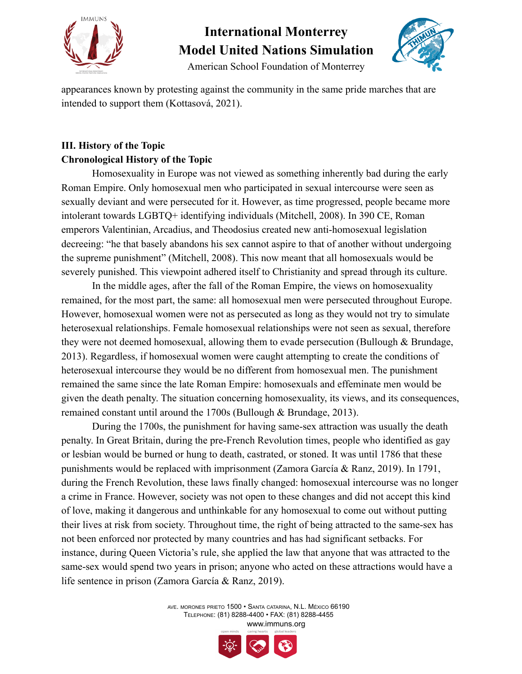



American School Foundation of Monterrey

appearances known by protesting against the community in the same pride marches that are intended to support them (Kottasová, 2021).

### **III. History of the Topic Chronological History of the Topic**

Homosexuality in Europe was not viewed as something inherently bad during the early Roman Empire. Only homosexual men who participated in sexual intercourse were seen as sexually deviant and were persecuted for it. However, as time progressed, people became more intolerant towards LGBTQ+ identifying individuals (Mitchell, 2008). In 390 CE, Roman emperors Valentinian, Arcadius, and Theodosius created new anti-homosexual legislation decreeing: "he that basely abandons his sex cannot aspire to that of another without undergoing the supreme punishment" (Mitchell, 2008). This now meant that all homosexuals would be severely punished. This viewpoint adhered itself to Christianity and spread through its culture.

In the middle ages, after the fall of the Roman Empire, the views on homosexuality remained, for the most part, the same: all homosexual men were persecuted throughout Europe. However, homosexual women were not as persecuted as long as they would not try to simulate heterosexual relationships. Female homosexual relationships were not seen as sexual, therefore they were not deemed homosexual, allowing them to evade persecution (Bullough & Brundage, 2013). Regardless, if homosexual women were caught attempting to create the conditions of heterosexual intercourse they would be no different from homosexual men. The punishment remained the same since the late Roman Empire: homosexuals and effeminate men would be given the death penalty. The situation concerning homosexuality, its views, and its consequences, remained constant until around the 1700s (Bullough & Brundage, 2013).

During the 1700s, the punishment for having same-sex attraction was usually the death penalty. In Great Britain, during the pre-French Revolution times, people who identified as gay or lesbian would be burned or hung to death, castrated, or stoned. It was until 1786 that these punishments would be replaced with imprisonment (Zamora García & Ranz, 2019). In 1791, during the French Revolution, these laws finally changed: homosexual intercourse was no longer a crime in France. However, society was not open to these changes and did not accept this kind of love, making it dangerous and unthinkable for any homosexual to come out without putting their lives at risk from society. Throughout time, the right of being attracted to the same-sex has not been enforced nor protected by many countries and has had significant setbacks. For instance, during Queen Victoria's rule, she applied the law that anyone that was attracted to the same-sex would spend two years in prison; anyone who acted on these attractions would have a life sentence in prison (Zamora García & Ranz, 2019).

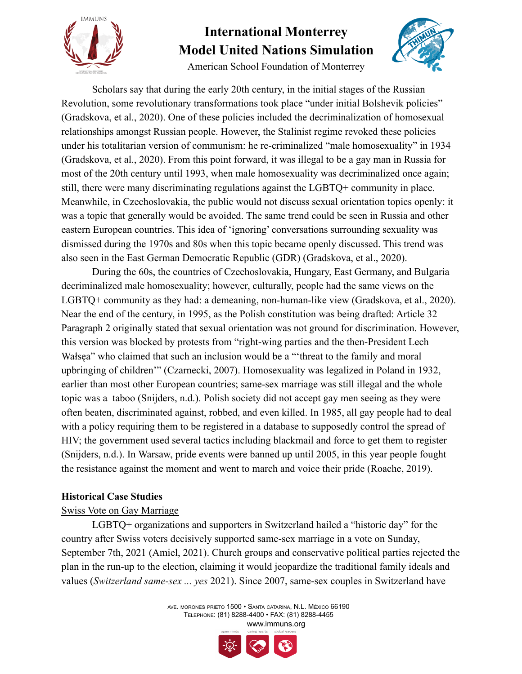

American School Foundation of Monterrey



Scholars say that during the early 20th century, in the initial stages of the Russian Revolution, some revolutionary transformations took place "under initial Bolshevik policies" (Gradskova, et al., 2020). One of these policies included the decriminalization of homosexual relationships amongst Russian people. However, the Stalinist regime revoked these policies under his totalitarian version of communism: he re-criminalized "male homosexuality" in 1934 (Gradskova, et al., 2020). From this point forward, it was illegal to be a gay man in Russia for most of the 20th century until 1993, when male homosexuality was decriminalized once again; still, there were many discriminating regulations against the LGBTQ+ community in place. Meanwhile, in Czechoslovakia, the public would not discuss sexual orientation topics openly: it was a topic that generally would be avoided. The same trend could be seen in Russia and other eastern European countries. This idea of 'ignoring' conversations surrounding sexuality was dismissed during the 1970s and 80s when this topic became openly discussed. This trend was also seen in the East German Democratic Republic (GDR) (Gradskova, et al., 2020).

During the 60s, the countries of Czechoslovakia, Hungary, East Germany, and Bulgaria decriminalized male homosexuality; however, culturally, people had the same views on the LGBTQ+ community as they had: a demeaning, non-human-like view (Gradskova, et al., 2020). Near the end of the century, in 1995, as the Polish constitution was being drafted: Article 32 Paragraph 2 originally stated that sexual orientation was not ground for discrimination. However, this version was blocked by protests from "right-wing parties and the then-President Lech Wałsęa" who claimed that such an inclusion would be a "'threat to the family and moral upbringing of children'" (Czarnecki, 2007). Homosexuality was legalized in Poland in 1932, earlier than most other European countries; same-sex marriage was still illegal and the whole topic was a taboo (Snijders, n.d.). Polish society did not accept gay men seeing as they were often beaten, discriminated against, robbed, and even killed. In 1985, all gay people had to deal with a policy requiring them to be registered in a database to supposedly control the spread of HIV; the government used several tactics including blackmail and force to get them to register (Snijders, n.d.). In Warsaw, pride events were banned up until 2005, in this year people fought the resistance against the moment and went to march and voice their pride (Roache, 2019).

#### **Historical Case Studies**

#### Swiss Vote on Gay Marriage

LGBTQ+ organizations and supporters in Switzerland hailed a "historic day" for the country after Swiss voters decisively supported same-sex marriage in a vote on Sunday, September 7th, 2021 (Amiel, 2021). Church groups and conservative political parties rejected the plan in the run-up to the election, claiming it would jeopardize the traditional family ideals and values (*Switzerland same-sex ... yes* 2021). Since 2007, same-sex couples in Switzerland have

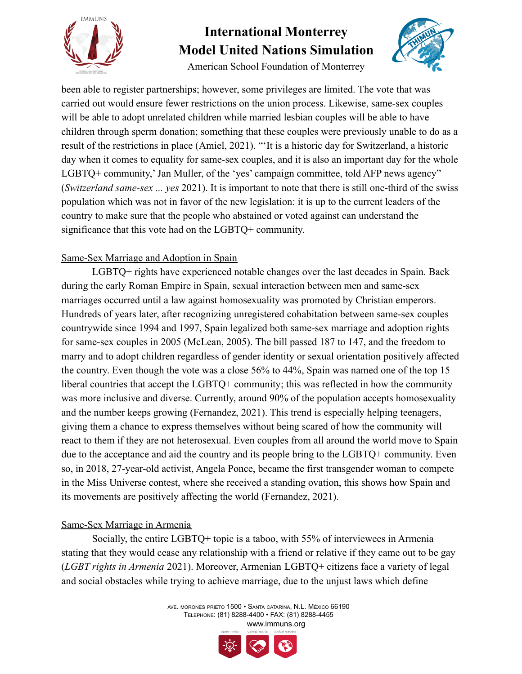

American School Foundation of Monterrey

been able to register partnerships; however, some privileges are limited. The vote that was carried out would ensure fewer restrictions on the union process. Likewise, same-sex couples will be able to adopt unrelated children while married lesbian couples will be able to have children through sperm donation; something that these couples were previously unable to do as a result of the restrictions in place (Amiel, 2021). "'It is a historic day for Switzerland, a historic day when it comes to equality for same-sex couples, and it is also an important day for the whole LGBTQ+ community,' Jan Muller, of the 'yes' campaign committee, told AFP news agency" (*Switzerland same-sex ... yes* 2021). It is important to note that there is still one-third of the swiss population which was not in favor of the new legislation: it is up to the current leaders of the country to make sure that the people who abstained or voted against can understand the significance that this vote had on the LGBTQ+ community.

### Same-Sex Marriage and Adoption in Spain

LGBTQ+ rights have experienced notable changes over the last decades in Spain. Back during the early Roman Empire in Spain, sexual interaction between men and same-sex marriages occurred until a law against homosexuality was promoted by Christian emperors. Hundreds of years later, after recognizing unregistered cohabitation between same-sex couples countrywide since 1994 and 1997, Spain legalized both same-sex marriage and adoption rights for same-sex couples in 2005 (McLean, 2005). The bill passed 187 to 147, and the freedom to marry and to adopt children regardless of gender identity or sexual orientation positively affected the country. Even though the vote was a close 56% to 44%, Spain was named one of the top 15 liberal countries that accept the LGBTQ+ community; this was reflected in how the community was more inclusive and diverse. Currently, around 90% of the population accepts homosexuality and the number keeps growing (Fernandez, 2021). This trend is especially helping teenagers, giving them a chance to express themselves without being scared of how the community will react to them if they are not heterosexual. Even couples from all around the world move to Spain due to the acceptance and aid the country and its people bring to the LGBTQ+ community. Even so, in 2018, 27-year-old activist, Angela Ponce, became the first transgender woman to compete in the Miss Universe contest, where she received a standing ovation, this shows how Spain and its movements are positively affecting the world (Fernandez, 2021).

#### Same-Sex Marriage in Armenia

Socially, the entire LGBTQ+ topic is a taboo, with 55% of interviewees in Armenia stating that they would cease any relationship with a friend or relative if they came out to be gay (*LGBT rights in Armenia* 2021). Moreover, Armenian LGBTQ+ citizens face a variety of legal and social obstacles while trying to achieve marriage, due to the unjust laws which define

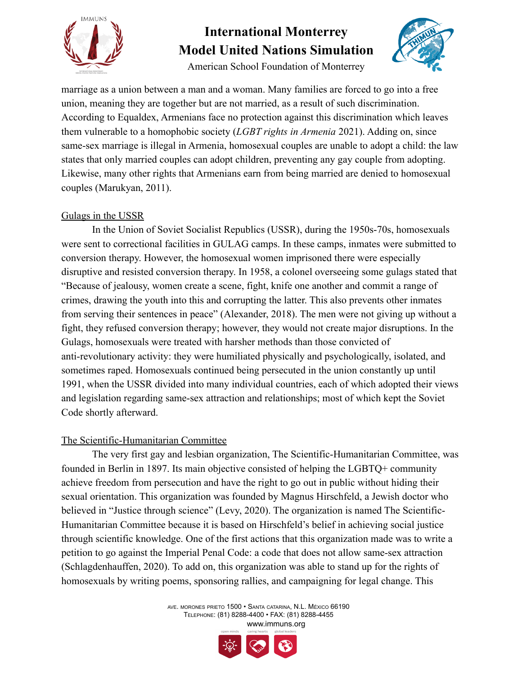

American School Foundation of Monterrey

marriage as a union between a man and a woman. Many families are forced to go into a free union, meaning they are together but are not married, as a result of such discrimination. According to Equaldex, Armenians face no protection against this discrimination which leaves them vulnerable to a homophobic society (*LGBT rights in Armenia* 2021). Adding on, since same-sex marriage is illegal in Armenia, homosexual couples are unable to adopt a child: the law states that only married couples can adopt children, preventing any gay couple from adopting. Likewise, many other rights that Armenians earn from being married are denied to homosexual couples (Marukyan, 2011).

#### Gulags in the USSR

In the Union of Soviet Socialist Republics (USSR), during the 1950s-70s, homosexuals were sent to correctional facilities in GULAG camps. In these camps, inmates were submitted to conversion therapy. However, the homosexual women imprisoned there were especially disruptive and resisted conversion therapy. In 1958, a colonel overseeing some gulags stated that "Because of jealousy, women create a scene, fight, knife one another and commit a range of crimes, drawing the youth into this and corrupting the latter. This also prevents other inmates from serving their sentences in peace" (Alexander, 2018). The men were not giving up without a fight, they refused conversion therapy; however, they would not create major disruptions. In the Gulags, homosexuals were treated with harsher methods than those convicted of anti-revolutionary activity: they were humiliated physically and psychologically, isolated, and sometimes raped. Homosexuals continued being persecuted in the union constantly up until 1991, when the USSR divided into many individual countries, each of which adopted their views and legislation regarding same-sex attraction and relationships; most of which kept the Soviet Code shortly afterward.

### The Scientific-Humanitarian Committee

The very first gay and lesbian organization, The Scientific-Humanitarian Committee, was founded in Berlin in 1897. Its main objective consisted of helping the LGBTQ+ community achieve freedom from persecution and have the right to go out in public without hiding their sexual orientation. This organization was founded by Magnus Hirschfeld, a Jewish doctor who believed in "Justice through science" (Levy, 2020). The organization is named The Scientific-Humanitarian Committee because it is based on Hirschfeld's belief in achieving social justice through scientific knowledge. One of the first actions that this organization made was to write a petition to go against the Imperial Penal Code: a code that does not allow same-sex attraction (Schlagdenhauffen, 2020). To add on, this organization was able to stand up for the rights of homosexuals by writing poems, sponsoring rallies, and campaigning for legal change. This

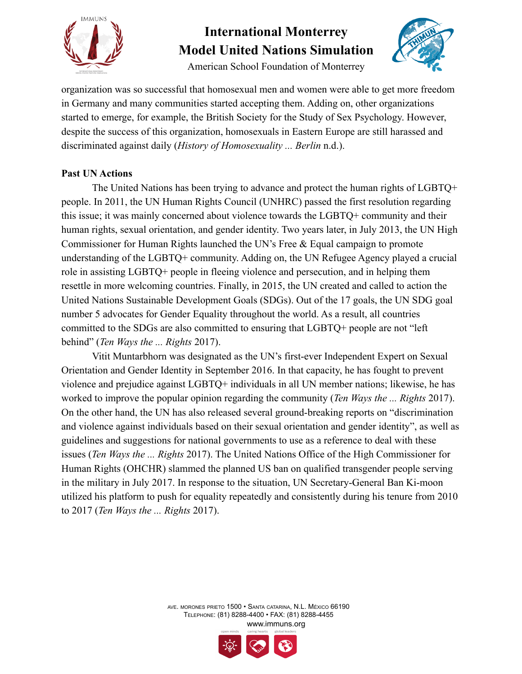

American School Foundation of Monterrey



organization was so successful that homosexual men and women were able to get more freedom in Germany and many communities started accepting them. Adding on, other organizations started to emerge, for example, the British Society for the Study of Sex Psychology. However, despite the success of this organization, homosexuals in Eastern Europe are still harassed and discriminated against daily (*History of Homosexuality ... Berlin* n.d.).

### **Past UN Actions**

The United Nations has been trying to advance and protect the human rights of LGBTQ+ people. In 2011, the UN Human Rights Council (UNHRC) passed the first resolution regarding this issue; it was mainly concerned about violence towards the LGBTQ+ community and their human rights, sexual orientation, and gender identity. Two years later, in July 2013, the UN High Commissioner for Human Rights launched the UN's Free & Equal campaign to promote understanding of the LGBTQ+ community. Adding on, the UN Refugee Agency played a crucial role in assisting LGBTQ+ people in fleeing violence and persecution, and in helping them resettle in more welcoming countries. Finally, in 2015, the UN created and called to action the United Nations Sustainable Development Goals (SDGs). Out of the 17 goals, the UN SDG goal number 5 advocates for Gender Equality throughout the world. As a result, all countries committed to the SDGs are also committed to ensuring that LGBTQ+ people are not "left behind" (*Ten Ways the ... Rights* 2017).

Vitit Muntarbhorn was designated as the UN's first-ever Independent Expert on Sexual Orientation and Gender Identity in September 2016. In that capacity, he has fought to prevent violence and prejudice against LGBTQ+ individuals in all UN member nations; likewise, he has worked to improve the popular opinion regarding the community (*Ten Ways the ... Rights* 2017). On the other hand, the UN has also released several ground-breaking reports on "discrimination and violence against individuals based on their sexual orientation and gender identity", as well as guidelines and suggestions for national governments to use as a reference to deal with these issues (*Ten Ways the ... Rights* 2017). The United Nations Office of the High Commissioner for Human Rights (OHCHR) slammed the planned US ban on qualified transgender people serving in the military in July 2017. In response to the situation, UN Secretary-General Ban Ki-moon utilized his platform to push for equality repeatedly and consistently during his tenure from 2010 to 2017 (*Ten Ways the ... Rights* 2017).

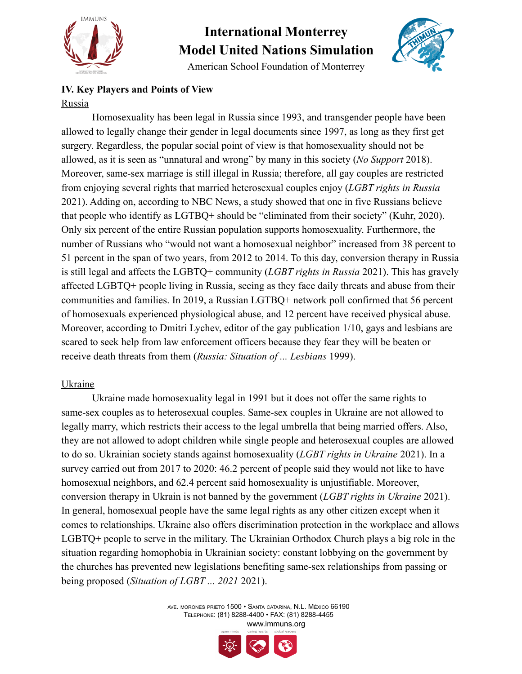

American School Foundation of Monterrey



### **IV. Key Players and Points of View** Russia

Homosexuality has been legal in Russia since 1993, and transgender people have been allowed to legally change their gender in legal documents since 1997, as long as they first get surgery. Regardless, the popular social point of view is that homosexuality should not be allowed, as it is seen as "unnatural and wrong" by many in this society (*No Support* 2018). Moreover, same-sex marriage is still illegal in Russia; therefore, all gay couples are restricted from enjoying several rights that married heterosexual couples enjoy (*LGBT rights in Russia* 2021). Adding on, according to NBC News, a study showed that one in five Russians believe that people who identify as LGTBQ+ should be "eliminated from their society" (Kuhr, 2020). Only six percent of the entire Russian population supports homosexuality. Furthermore, the number of Russians who "would not want a homosexual neighbor" increased from 38 percent to 51 percent in the span of two years, from 2012 to 2014. To this day, conversion therapy in Russia is still legal and affects the LGBTQ+ community (*LGBT rights in Russia* 2021). This has gravely affected LGBTQ+ people living in Russia, seeing as they face daily threats and abuse from their communities and families. In 2019, a Russian LGTBQ+ network poll confirmed that 56 percent of homosexuals experienced physiological abuse, and 12 percent have received physical abuse. Moreover, according to Dmitri Lychev, editor of the gay publication 1/10, gays and lesbians are scared to seek help from law enforcement officers because they fear they will be beaten or receive death threats from them (*Russia: Situation of ... Lesbians* 1999).

#### Ukraine

Ukraine made homosexuality legal in 1991 but it does not offer the same rights to same-sex couples as to heterosexual couples. Same-sex couples in Ukraine are not allowed to legally marry, which restricts their access to the legal umbrella that being married offers. Also, they are not allowed to adopt children while single people and heterosexual couples are allowed to do so. Ukrainian society stands against homosexuality (*LGBT rights in Ukraine* 2021). In a survey carried out from 2017 to 2020: 46.2 percent of people said they would not like to have homosexual neighbors, and 62.4 percent said homosexuality is unjustifiable. Moreover, conversion therapy in Ukrain is not banned by the government (*LGBT rights in Ukraine* 2021). In general, homosexual people have the same legal rights as any other citizen except when it comes to relationships. Ukraine also offers discrimination protection in the workplace and allows LGBTQ+ people to serve in the military. The Ukrainian Orthodox Church plays a big role in the situation regarding homophobia in Ukrainian society: constant lobbying on the government by the churches has prevented new legislations benefiting same-sex relationships from passing or being proposed (*Situation of LGBT ... 2021* 2021).

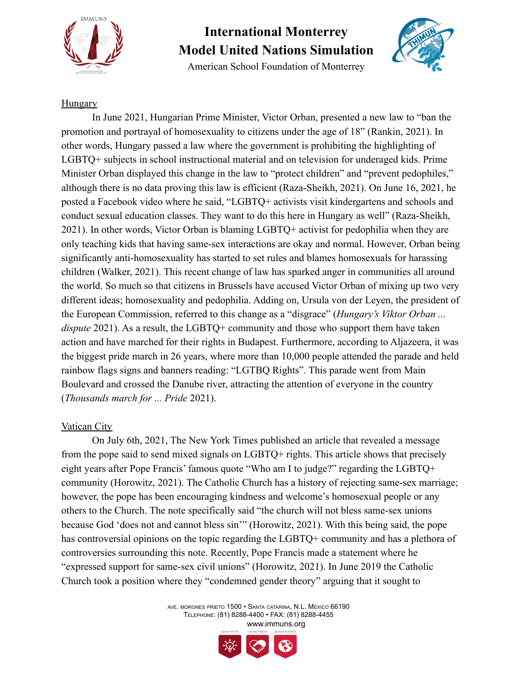

American School Foundation of Monterrey



#### Hungary

In June 2021, Hungarian Prime Minister, Victor Orban, presented a new law to "ban the promotion and portrayal of homosexuality to citizens under the age of 18" (Rankin, 2021). In other words, Hungary passed a law where the government is prohibiting the highlighting of LGBTQ+ subjects in school instructional material and on television for underaged kids. Prime Minister Orban displayed this change in the law to "protect children" and "prevent pedophiles," although there is no data proving this law is efficient (Raza-Sheikh, 2021). On June 16, 2021, he posted a Facebook video where he said, "LGBTQ+ activists visit kindergartens and schools and conduct sexual education classes. They want to do this here in Hungary as well" (Raza-Sheikh, 2021). In other words, Victor Orban is blaming LGBTQ+ activist for pedophilia when they are only teaching kids that having same-sex interactions are okay and normal. However, Orban being significantly anti-homosexuality has started to set rules and blames homosexuals for harassing children (Walker, 2021). This recent change of law has sparked anger in communities all around the world. So much so that citizens in Brussels have accused Victor Orban of mixing up two very different ideas; homosexuality and pedophilia. Adding on, Ursula von der Leyen, the president of the European Commission, referred to this change as a "disgrace" (*Hungary's Viktor Orban ... dispute* 2021). As a result, the LGBTO+ community and those who support them have taken action and have marched for their rights in Budapest. Furthermore, according to Aljazeera, it was the biggest pride march in 26 years, where more than 10,000 people attended the parade and held rainbow flags signs and banners reading: "LGTBQ Rights". This parade went from Main Boulevard and crossed the Danube river, attracting the attention of everyone in the country (*Thousands march for ... Pride* 2021).

#### Vatican City

On July 6th, 2021, The New York Times published an article that revealed a message from the pope said to send mixed signals on LGBTQ+ rights. This article shows that precisely eight years after Pope Francis' famous quote "Who am I to judge?" regarding the LGBTQ+ community (Horowitz, 2021). The Catholic Church has a history of rejecting same-sex marriage; however, the pope has been encouraging kindness and welcome's homosexual people or any others to the Church. The note specifically said "the church will not bless same-sex unions because God 'does not and cannot bless sin'" (Horowitz, 2021). With this being said, the pope has controversial opinions on the topic regarding the LGBTQ+ community and has a plethora of controversies surrounding this note. Recently, Pope Francis made a statement where he "expressed support for same-sex civil unions" (Horowitz, 2021). In June 2019 the Catholic Church took a position where they "condemned gender theory" arguing that it sought to

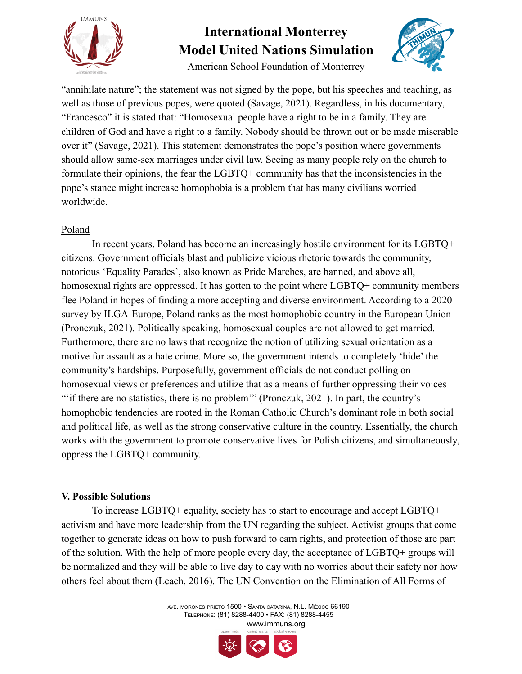

American School Foundation of Monterrey



"annihilate nature"; the statement was not signed by the pope, but his speeches and teaching, as well as those of previous popes, were quoted (Savage, 2021). Regardless, in his documentary, "Francesco" it is stated that: "Homosexual people have a right to be in a family. They are children of God and have a right to a family. Nobody should be thrown out or be made miserable over it" (Savage, 2021). This statement demonstrates the pope's position where governments should allow same-sex marriages under civil law. Seeing as many people rely on the church to formulate their opinions, the fear the LGBTQ+ community has that the inconsistencies in the pope's stance might increase homophobia is a problem that has many civilians worried worldwide.

### Poland

In recent years, Poland has become an increasingly hostile environment for its LGBTQ+ citizens. Government officials blast and publicize vicious rhetoric towards the community, notorious 'Equality Parades', also known as Pride Marches, are banned, and above all, homosexual rights are oppressed. It has gotten to the point where LGBTQ+ community members flee Poland in hopes of finding a more accepting and diverse environment. According to a 2020 survey by ILGA-Europe, Poland ranks as the most homophobic country in the European Union (Pronczuk, 2021). Politically speaking, homosexual couples are not allowed to get married. Furthermore, there are no laws that recognize the notion of utilizing sexual orientation as a motive for assault as a hate crime. More so, the government intends to completely 'hide' the community's hardships. Purposefully, government officials do not conduct polling on homosexual views or preferences and utilize that as a means of further oppressing their voices— "" if there are no statistics, there is no problem" (Pronczuk, 2021). In part, the country's homophobic tendencies are rooted in the Roman Catholic Church's dominant role in both social and political life, as well as the strong conservative culture in the country. Essentially, the church works with the government to promote conservative lives for Polish citizens, and simultaneously, oppress the LGBTQ+ community.

#### **V. Possible Solutions**

To increase LGBTQ+ equality, society has to start to encourage and accept LGBTQ+ activism and have more leadership from the UN regarding the subject. Activist groups that come together to generate ideas on how to push forward to earn rights, and protection of those are part of the solution. With the help of more people every day, the acceptance of LGBTQ+ groups will be normalized and they will be able to live day to day with no worries about their safety nor how others feel about them (Leach, 2016). The UN Convention on the Elimination of All Forms of

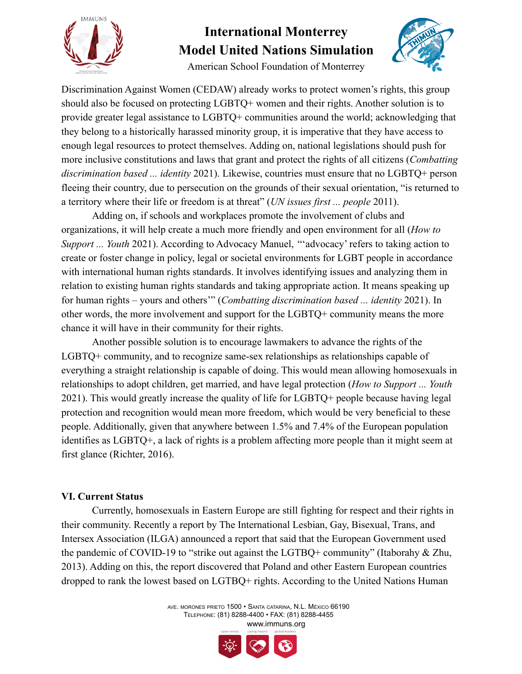

American School Foundation of Monterrey



Discrimination Against Women (CEDAW) already works to protect women's rights, this group should also be focused on protecting LGBTQ+ women and their rights. Another solution is to provide greater legal assistance to LGBTQ+ communities around the world; acknowledging that they belong to a historically harassed minority group, it is imperative that they have access to enough legal resources to protect themselves. Adding on, national legislations should push for more inclusive constitutions and laws that grant and protect the rights of all citizens (*Combatting discrimination based ... identity* 2021). Likewise, countries must ensure that no LGBTQ+ person fleeing their country, due to persecution on the grounds of their sexual orientation, "is returned to a territory where their life or freedom is at threat" (*UN issues first ... people* 2011).

Adding on, if schools and workplaces promote the involvement of clubs and organizations, it will help create a much more friendly and open environment for all (*How to Support ... Youth* 2021). According to Advocacy Manuel, "'advocacy' refers to taking action to create or foster change in policy, legal or societal environments for LGBT people in accordance with international human rights standards. It involves identifying issues and analyzing them in relation to existing human rights standards and taking appropriate action. It means speaking up for human rights – yours and others'" (*Combatting discrimination based ... identity* 2021). In other words, the more involvement and support for the LGBTQ+ community means the more chance it will have in their community for their rights.

Another possible solution is to encourage lawmakers to advance the rights of the LGBTQ+ community, and to recognize same-sex relationships as relationships capable of everything a straight relationship is capable of doing. This would mean allowing homosexuals in relationships to adopt children, get married, and have legal protection (*How to Support ... Youth* 2021). This would greatly increase the quality of life for LGBTQ+ people because having legal protection and recognition would mean more freedom, which would be very beneficial to these people. Additionally, given that anywhere between 1.5% and 7.4% of the European population identifies as LGBTQ+, a lack of rights is a problem affecting more people than it might seem at first glance (Richter, 2016).

#### **VI. Current Status**

Currently, homosexuals in Eastern Europe are still fighting for respect and their rights in their community. Recently a report by The International Lesbian, Gay, Bisexual, Trans, and Intersex Association (ILGA) announced a report that said that the European Government used the pandemic of COVID-19 to "strike out against the LGTBQ+ community" (Itaborahy & Zhu, 2013). Adding on this, the report discovered that Poland and other Eastern European countries dropped to rank the lowest based on LGTBQ+ rights. According to the United Nations Human

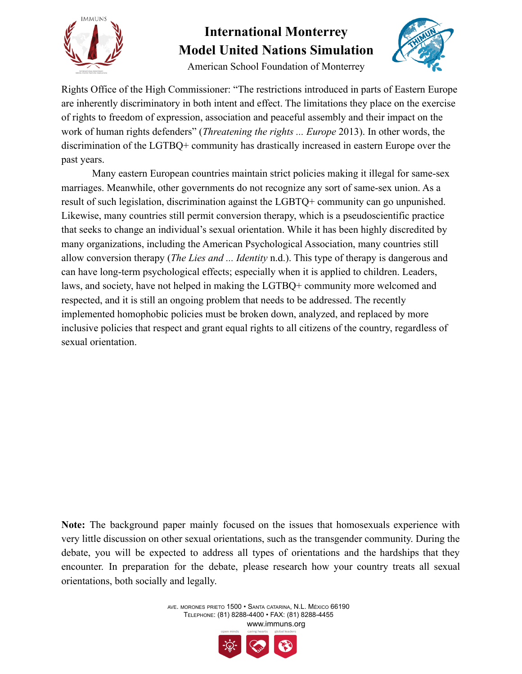



American School Foundation of Monterrey

Rights Office of the High Commissioner: "The restrictions introduced in parts of Eastern Europe are inherently discriminatory in both intent and effect. The limitations they place on the exercise of rights to freedom of expression, association and peaceful assembly and their impact on the work of human rights defenders" (*Threatening the rights ... Europe* 2013). In other words, the discrimination of the LGTBQ+ community has drastically increased in eastern Europe over the past years.

Many eastern European countries maintain strict policies making it illegal for same-sex marriages. Meanwhile, other governments do not recognize any sort of same-sex union. As a result of such legislation, discrimination against the LGBTQ+ community can go unpunished. Likewise, many countries still permit conversion therapy, which is a pseudoscientific practice that seeks to change an individual's sexual orientation. While it has been highly discredited by many organizations, including the American Psychological Association, many countries still allow conversion therapy (*The Lies and ... Identity* n.d.). This type of therapy is dangerous and can have long-term psychological effects; especially when it is applied to children. Leaders, laws, and society, have not helped in making the LGTBQ+ community more welcomed and respected, and it is still an ongoing problem that needs to be addressed. The recently implemented homophobic policies must be broken down, analyzed, and replaced by more inclusive policies that respect and grant equal rights to all citizens of the country, regardless of sexual orientation.

**Note:** The background paper mainly focused on the issues that homosexuals experience with very little discussion on other sexual orientations, such as the transgender community. During the debate, you will be expected to address all types of orientations and the hardships that they encounter. In preparation for the debate, please research how your country treats all sexual orientations, both socially and legally.

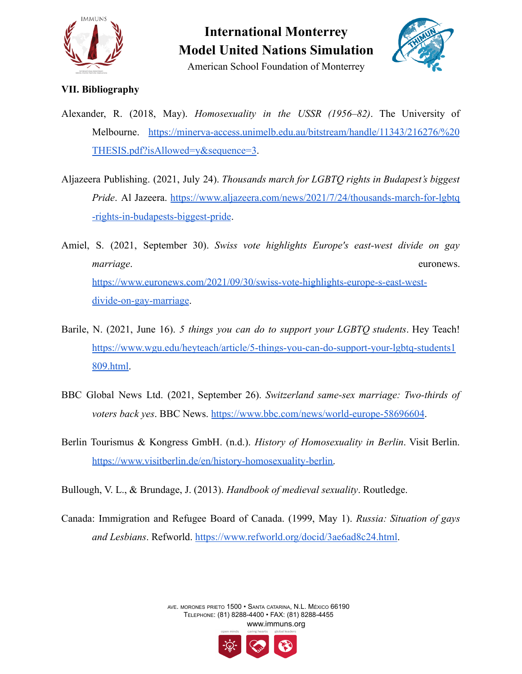



American School Foundation of Monterrey

#### **VII. Bibliography**

- Alexander, R. (2018, May). *Homosexuality in the USSR (1956–82)*. The University of Melbourne. [https://minerva-access.unimelb.edu.au/bitstream/handle/11343/216276/%20](https://minerva-access.unimelb.edu.au/bitstream/handle/11343/216276/%20THESIS.pdf?isAllowed=y&sequence=3) [THESIS.pdf?isAllowed=y&sequence=3](https://minerva-access.unimelb.edu.au/bitstream/handle/11343/216276/%20THESIS.pdf?isAllowed=y&sequence=3).
- Aljazeera Publishing. (2021, July 24). *Thousands march for LGBTQ rights in Budapest's biggest Pride*. Al Jazeera. [https://www.aljazeera.com/news/2021/7/24/thousands-march-for-lgbtq](https://www.aljazeera.com/news/2021/7/24/thousands-march-for-lgbtq-rights-in-budapests-biggest-pride) [-rights-in-budapests-biggest-pride](https://www.aljazeera.com/news/2021/7/24/thousands-march-for-lgbtq-rights-in-budapests-biggest-pride).
- Amiel, S. (2021, September 30). *Swiss vote highlights Europe's east-west divide on gay marriage.* euronews. [https://www.euronews.com/2021/09/30/swiss-vote-highlights-europe-s-east-west](https://www.euronews.com/2021/09/30/swiss-vote-highlights-europe-s-east-west-divide-on-gay-marriage)[divide-on-gay-marriage.](https://www.euronews.com/2021/09/30/swiss-vote-highlights-europe-s-east-west-divide-on-gay-marriage)
- Barile, N. (2021, June 16). *5 things you can do to support your LGBTQ students*. Hey Teach! [https://www.wgu.edu/heyteach/article/5-things-you-can-do-support-your-lgbtq-students1](https://www.wgu.edu/heyteach/article/5-things-you-can-do-support-your-lgbtq-students1809.html) [809.html](https://www.wgu.edu/heyteach/article/5-things-you-can-do-support-your-lgbtq-students1809.html).
- BBC Global News Ltd. (2021, September 26). *Switzerland same-sex marriage: Two-thirds of voters back yes*. BBC News. <https://www.bbc.com/news/world-europe-58696604>.
- Berlin Tourismus & Kongress GmbH. (n.d.). *History of Homosexuality in Berlin*. Visit Berlin. [https://www.visitberlin.de/en/history-homosexuality-berlin.](https://www.visitberlin.de/en/history-homosexuality-berlin)

Bullough, V. L., & Brundage, J. (2013). *Handbook of medieval sexuality*. Routledge.

Canada: Immigration and Refugee Board of Canada. (1999, May 1). *Russia: Situation of gays and Lesbians*. Refworld. <https://www.refworld.org/docid/3ae6ad8c24.html>.

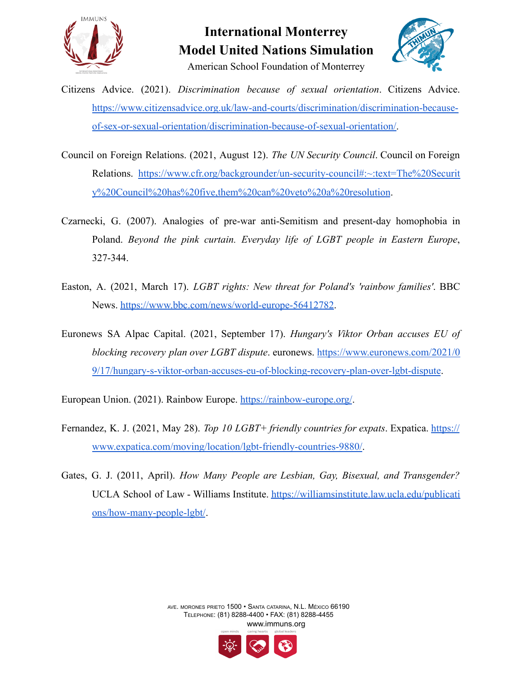

American School Foundation of Monterrey



- Citizens Advice. (2021). *Discrimination because of sexual orientation*. Citizens Advice. [https://www.citizensadvice.org.uk/law-and-courts/discrimination/discrimination-because](https://www.citizensadvice.org.uk/law-and-courts/discrimination/discrimination-because-of-sex-or-sexual-orientation/discrimination-because-of-sexual-orientation/)[of-sex-or-sexual-orientation/discrimination-because-of-sexual-orientation/.](https://www.citizensadvice.org.uk/law-and-courts/discrimination/discrimination-because-of-sex-or-sexual-orientation/discrimination-because-of-sexual-orientation/)
- Council on Foreign Relations. (2021, August 12). *The UN Security Council*. Council on Foreign Relations. [https://www.cfr.org/backgrounder/un-security-council#:~:text=The%20Securit](https://www.cfr.org/backgrounder/un-security-council#:~:text=The%20Security%20Council%20has%20five,them%20can%20veto%20a%20resolution) [y%20Council%20has%20five,them%20can%20veto%20a%20resolution](https://www.cfr.org/backgrounder/un-security-council#:~:text=The%20Security%20Council%20has%20five,them%20can%20veto%20a%20resolution).
- Czarnecki, G. (2007). Analogies of pre-war anti-Semitism and present-day homophobia in Poland. *Beyond the pink curtain. Everyday life of LGBT people in Eastern Europe*, 327-344.
- Easton, A. (2021, March 17). *LGBT rights: New threat for Poland's 'rainbow families'*. BBC News. [https://www.bbc.com/news/world-europe-56412782.](https://www.bbc.com/news/world-europe-56412782)
- Euronews SA Alpac Capital. (2021, September 17). *Hungary's Viktor Orban accuses EU of blocking recovery plan over LGBT dispute*. euronews. [https://www.euronews.com/2021/0](https://www.euronews.com/2021/09/17/hungary-s-viktor-orban-accuses-eu-of-blocking-recovery-plan-over-lgbt-dispute) [9/17/hungary-s-viktor-orban-accuses-eu-of-blocking-recovery-plan-over-lgbt-dispute](https://www.euronews.com/2021/09/17/hungary-s-viktor-orban-accuses-eu-of-blocking-recovery-plan-over-lgbt-dispute).
- European Union. (2021). Rainbow Europe. <https://rainbow-europe.org/>.
- Fernandez, K. J. (2021, May 28). *Top 10 LGBT+ friendly countries for expats*. Expatica. [https://](https://www.expatica.com/moving/location/lgbt-friendly-countries-9880/) [www.expatica.com/moving/location/lgbt-friendly-countries-9880/](https://www.expatica.com/moving/location/lgbt-friendly-countries-9880/).
- Gates, G. J. (2011, April). *How Many People are Lesbian, Gay, Bisexual, and Transgender?* UCLA School of Law - Williams Institute. [https://williamsinstitute.law.ucla.edu/publicati](https://williamsinstitute.law.ucla.edu/publications/how-many-people-lgbt/) [ons/how-many-people-lgbt/](https://williamsinstitute.law.ucla.edu/publications/how-many-people-lgbt/).

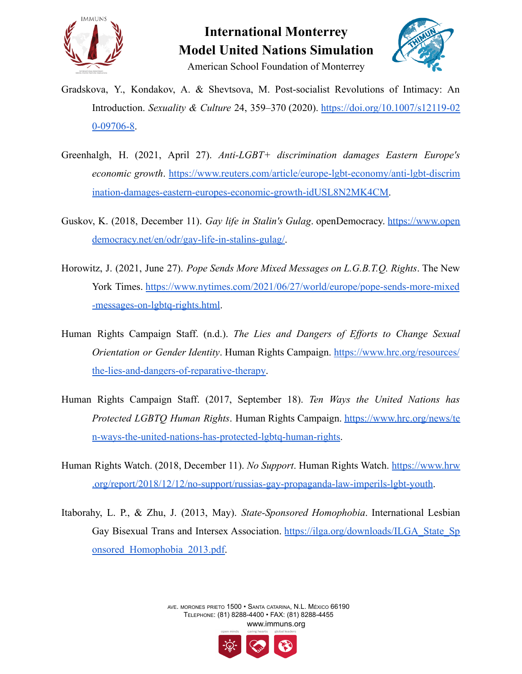



American School Foundation of Monterrey

- Gradskova, Y., Kondakov, A. & Shevtsova, M. Post-socialist Revolutions of Intimacy: An Introduction. *Sexuality & Culture* 24, 359–370 (2020). [https://doi.org/10.1007/s12119-02](https://doi.org/10.1007/s12119-020-09706-8) [0-09706-8.](https://doi.org/10.1007/s12119-020-09706-8)
- Greenhalgh, H. (2021, April 27). *Anti-LGBT+ discrimination damages Eastern Europe's economic growth*. [https://www.reuters.com/article/europe-lgbt-economy/anti-lgbt-discrim](https://www.reuters.com/article/europe-lgbt-economy/anti-lgbt-discrimination-damages-eastern-europes-economic-growth-idUSL8N2MK4CM) [ination-damages-eastern-europes-economic-growth-idUSL8N2MK4CM.](https://www.reuters.com/article/europe-lgbt-economy/anti-lgbt-discrimination-damages-eastern-europes-economic-growth-idUSL8N2MK4CM)
- Guskov, K. (2018, December 11). *Gay life in Stalin's Gulag*. openDemocracy. [https://www.open](https://www.opendemocracy.net/en/odr/gay-life-in-stalins-gulag/) [democracy.net/en/odr/gay-life-in-stalins-gulag/](https://www.opendemocracy.net/en/odr/gay-life-in-stalins-gulag/).
- Horowitz, J. (2021, June 27). *Pope Sends More Mixed Messages on L.G.B.T.Q. Rights*. The New York Times. [https://www.nytimes.com/2021/06/27/world/europe/pope-sends-more-mixed](https://www.nytimes.com/2021/06/27/world/europe/pope-sends-more-mixed-messages-on-lgbtq-rights.html) [-messages-on-lgbtq-rights.html](https://www.nytimes.com/2021/06/27/world/europe/pope-sends-more-mixed-messages-on-lgbtq-rights.html).
- Human Rights Campaign Staff. (n.d.). *The Lies and Dangers of Efforts to Change Sexual Orientation or Gender Identity*. Human Rights Campaign. [https://www.hrc.org/resources/](https://www.hrc.org/resources/the-lies-and-dangers-of-reparative-therapy) [the-lies-and-dangers-of-reparative-therapy.](https://www.hrc.org/resources/the-lies-and-dangers-of-reparative-therapy)
- Human Rights Campaign Staff. (2017, September 18). *Ten Ways the United Nations has Protected LGBTQ Human Rights*. Human Rights Campaign. [https://www.hrc.org/news/te](https://www.hrc.org/news/ten-ways-the-united-nations-has-protected-lgbtq-human-rights) [n-ways-the-united-nations-has-protected-lgbtq-human-rights](https://www.hrc.org/news/ten-ways-the-united-nations-has-protected-lgbtq-human-rights).
- Human Rights Watch. (2018, December 11). *No Support*. Human Rights Watch. [https://www.hrw](https://www.hrw.org/report/2018/12/12/no-support/russias-gay-propaganda-law-imperils-lgbt-youth) [.org/report/2018/12/12/no-support/russias-gay-propaganda-law-imperils-lgbt-youth](https://www.hrw.org/report/2018/12/12/no-support/russias-gay-propaganda-law-imperils-lgbt-youth).
- Itaborahy, L. P., & Zhu, J. (2013, May). *State-Sponsored Homophobia*. International Lesbian Gay Bisexual Trans and Intersex Association. [https://ilga.org/downloads/ILGA\\_State\\_Sp](https://ilga.org/downloads/ILGA_State_Sponsored_Homophobia_2013.pdf) [onsored\\_Homophobia\\_2013.pdf.](https://ilga.org/downloads/ILGA_State_Sponsored_Homophobia_2013.pdf)

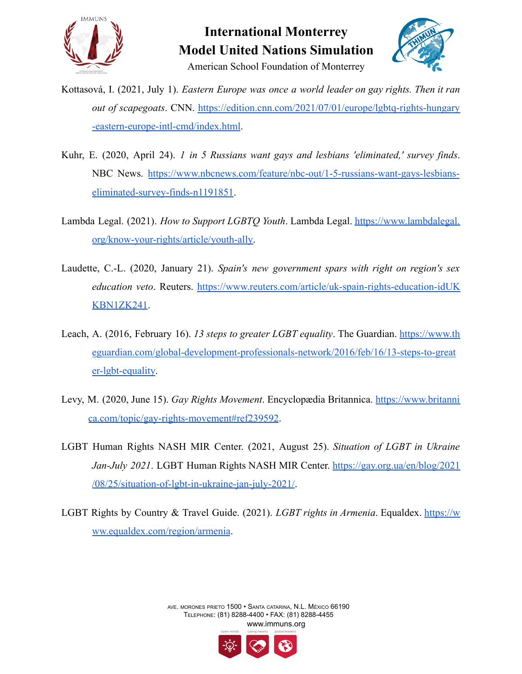

### **International Monterrey Model United Nations Simulation** American School Foundation of Monterrey



Kottasová, I. (2021, July 1). *Eastern Europe was once a world leader on gay rights. Then it ran out of scapegoats*. CNN. [https://edition.cnn.com/2021/07/01/europe/lgbtq-rights-hungary](https://edition.cnn.com/2021/07/01/europe/lgbtq-rights-hungary-eastern-europe-intl-cmd/index.html) [-eastern-europe-intl-cmd/index.html](https://edition.cnn.com/2021/07/01/europe/lgbtq-rights-hungary-eastern-europe-intl-cmd/index.html).

- Kuhr, E. (2020, April 24). *1 in 5 Russians want gays and lesbians 'eliminated,' survey finds*. NBC News. [https://www.nbcnews.com/feature/nbc-out/1-5-russians-want-gays-lesbians](https://www.nbcnews.com/feature/nbc-out/1-5-russians-want-gays-lesbians-eliminated-survey-finds-n1191851)[eliminated-survey-finds-n1191851](https://www.nbcnews.com/feature/nbc-out/1-5-russians-want-gays-lesbians-eliminated-survey-finds-n1191851).
- Lambda Legal. (2021). *How to Support LGBTQ Youth*. Lambda Legal. [https://www.lambdalegal.](https://www.lambdalegal.org/know-your-rights/article/youth-ally) [org/know-your-rights/article/youth-ally.](https://www.lambdalegal.org/know-your-rights/article/youth-ally)
- Laudette, C.-L. (2020, January 21). *Spain's new government spars with right on region's sex education veto*. Reuters. [https://www.reuters.com/article/uk-spain-rights-education-idUK](https://www.reuters.com/article/uk-spain-rights-education-idUKKBN1ZK241) [KBN1ZK241](https://www.reuters.com/article/uk-spain-rights-education-idUKKBN1ZK241).
- Leach, A. (2016, February 16). *13 steps to greater LGBT equality*. The Guardian. [https://www.th](https://www.theguardian.com/global-development-professionals-network/2016/feb/16/13-steps-to-greater-lgbt-equality) [eguardian.com/global-development-professionals-network/2016/feb/16/13-steps-to-great](https://www.theguardian.com/global-development-professionals-network/2016/feb/16/13-steps-to-greater-lgbt-equality) [er-lgbt-equality](https://www.theguardian.com/global-development-professionals-network/2016/feb/16/13-steps-to-greater-lgbt-equality).
- Levy, M. (2020, June 15). *Gay Rights Movement*. Encyclopædia Britannica. [https://www.britanni](https://www.britannica.com/topic/gay-rights-movement#ref239592) [ca.com/topic/gay-rights-movement#ref239592](https://www.britannica.com/topic/gay-rights-movement#ref239592).
- LGBT Human Rights NASH MIR Center. (2021, August 25). *Situation of LGBT in Ukraine Jan-July 2021*. LGBT Human Rights NASH MIR Center. [https://gay.org.ua/en/blog/2021](https://gay.org.ua/en/blog/2021/08/25/situation-of-lgbt-in-ukraine-jan-july-2021/) [/08/25/situation-of-lgbt-in-ukraine-jan-july-2021/.](https://gay.org.ua/en/blog/2021/08/25/situation-of-lgbt-in-ukraine-jan-july-2021/)
- LGBT Rights by Country & Travel Guide. (2021). *LGBT rights in Armenia*. Equaldex. [https://w](https://www.equaldex.com/region/armenia) [ww.equaldex.com/region/armenia](https://www.equaldex.com/region/armenia).

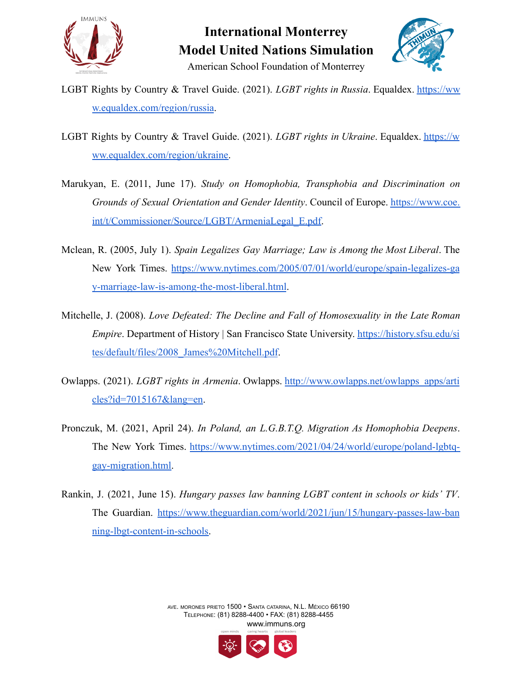



American School Foundation of Monterrey

- LGBT Rights by Country & Travel Guide. (2021). *LGBT rights in Russia*. Equaldex. [https://ww](https://www.equaldex.com/region/russia) [w.equaldex.com/region/russia](https://www.equaldex.com/region/russia).
- LGBT Rights by Country & Travel Guide. (2021). *LGBT rights in Ukraine*. Equaldex. [https://w](https://www.equaldex.com/region/ukraine) [ww.equaldex.com/region/ukraine.](https://www.equaldex.com/region/ukraine)
- Marukyan, E. (2011, June 17). *Study on Homophobia, Transphobia and Discrimination on Grounds of Sexual Orientation and Gender Identity*. Council of Europe. [https://www.coe.](https://www.coe.int/t/Commissioner/Source/LGBT/ArmeniaLegal_E.pdf) [int/t/Commissioner/Source/LGBT/ArmeniaLegal\\_E.pdf.](https://www.coe.int/t/Commissioner/Source/LGBT/ArmeniaLegal_E.pdf)
- Mclean, R. (2005, July 1). *Spain Legalizes Gay Marriage; Law is Among the Most Liberal*. The New York Times. [https://www.nytimes.com/2005/07/01/world/europe/spain-legalizes-ga](https://www.nytimes.com/2005/07/01/world/europe/spain-legalizes-gay-marriage-law-is-among-the-most-liberal.html) [y-marriage-law-is-among-the-most-liberal.html](https://www.nytimes.com/2005/07/01/world/europe/spain-legalizes-gay-marriage-law-is-among-the-most-liberal.html).
- Mitchelle, J. (2008). *Love Defeated: The Decline and Fall of Homosexuality in the Late Roman Empire*. Department of History | San Francisco State University. [https://history.sfsu.edu/si](https://history.sfsu.edu/sites/default/files/2008_James%20Mitchell.pdf) [tes/default/files/2008\\_James%20Mitchell.pdf](https://history.sfsu.edu/sites/default/files/2008_James%20Mitchell.pdf).
- Owlapps. (2021). *LGBT rights in Armenia*. Owlapps. [http://www.owlapps.net/owlapps\\_apps/arti](http://www.owlapps.net/owlapps_apps/articles?id=7015167&lang=en) [cles?id=7015167&lang=en](http://www.owlapps.net/owlapps_apps/articles?id=7015167&lang=en).
- Pronczuk, M. (2021, April 24). *In Poland, an L.G.B.T.Q. Migration As Homophobia Deepens*. The New York Times. [https://www.nytimes.com/2021/04/24/world/europe/poland-lgbtq](https://www.nytimes.com/2021/04/24/world/europe/poland-lgbtq-gay-migration.html)[gay-migration.html.](https://www.nytimes.com/2021/04/24/world/europe/poland-lgbtq-gay-migration.html)
- Rankin, J. (2021, June 15). *Hungary passes law banning LGBT content in schools or kids' TV*. The Guardian. [https://www.theguardian.com/world/2021/jun/15/hungary-passes-law-ban](https://www.theguardian.com/world/2021/jun/15/hungary-passes-law-banning-lbgt-content-in-schools) [ning-lbgt-content-in-schools.](https://www.theguardian.com/world/2021/jun/15/hungary-passes-law-banning-lbgt-content-in-schools)

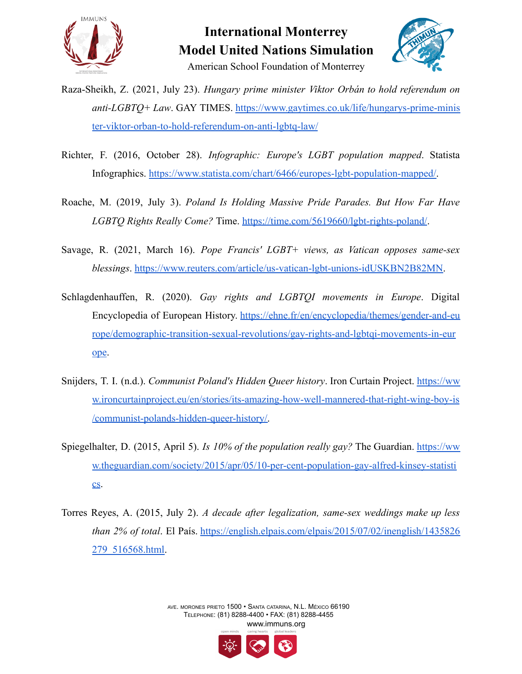



- Raza-Sheikh, Z. (2021, July 23). *Hungary prime minister Viktor Orbán to hold referendum on anti-LGBTQ+ Law*. GAY TIMES. [https://www.gaytimes.co.uk/life/hungarys-prime-minis](https://www.gaytimes.co.uk/life/hungarys-prime-minister-viktor-orban-to-hold-referendum-on-anti-lgbtq-law/) [ter-viktor-orban-to-hold-referendum-on-anti-lgbtq-law/](https://www.gaytimes.co.uk/life/hungarys-prime-minister-viktor-orban-to-hold-referendum-on-anti-lgbtq-law/)
- Richter, F. (2016, October 28). *Infographic: Europe's LGBT population mapped*. Statista Infographics. [https://www.statista.com/chart/6466/europes-lgbt-population-mapped/.](https://www.statista.com/chart/6466/europes-lgbt-population-mapped/)
- Roache, M. (2019, July 3). *Poland Is Holding Massive Pride Parades. But How Far Have LGBTQ Rights Really Come?* Time. <https://time.com/5619660/lgbt-rights-poland/>.
- Savage, R. (2021, March 16). *Pope Francis' LGBT+ views, as Vatican opposes same-sex blessings*. [https://www.reuters.com/article/us-vatican-lgbt-unions-idUSKBN2B82MN.](https://www.reuters.com/article/us-vatican-lgbt-unions-idUSKBN2B82MN)
- Schlagdenhauffen, R. (2020). *Gay rights and LGBTQI movements in Europe*. Digital Encyclopedia of European History. [https://ehne.fr/en/encyclopedia/themes/gender-and-eu](https://ehne.fr/en/encyclopedia/themes/gender-and-europe/demographic-transition-sexual-revolutions/gay-rights-and-lgbtqi-movements-in-europe) [rope/demographic-transition-sexual-revolutions/gay-rights-and-lgbtqi-movements-in-eur](https://ehne.fr/en/encyclopedia/themes/gender-and-europe/demographic-transition-sexual-revolutions/gay-rights-and-lgbtqi-movements-in-europe) [ope](https://ehne.fr/en/encyclopedia/themes/gender-and-europe/demographic-transition-sexual-revolutions/gay-rights-and-lgbtqi-movements-in-europe).
- Snijders, T. I. (n.d.). *Communist Poland's Hidden Queer history*. Iron Curtain Project. [https://ww](https://www.ironcurtainproject.eu/en/stories/its-amazing-how-well-mannered-that-right-wing-boy-is/communist-polands-hidden-queer-history/) [w.ironcurtainproject.eu/en/stories/its-amazing-how-well-mannered-that-right-wing-boy-is](https://www.ironcurtainproject.eu/en/stories/its-amazing-how-well-mannered-that-right-wing-boy-is/communist-polands-hidden-queer-history/) [/communist-polands-hidden-queer-history/.](https://www.ironcurtainproject.eu/en/stories/its-amazing-how-well-mannered-that-right-wing-boy-is/communist-polands-hidden-queer-history/)
- Spiegelhalter, D. (2015, April 5). *Is 10% of the population really gay?* The Guardian. [https://ww](https://www.theguardian.com/society/2015/apr/05/10-per-cent-population-gay-alfred-kinsey-statistics) [w.theguardian.com/society/2015/apr/05/10-per-cent-population-gay-alfred-kinsey-statisti](https://www.theguardian.com/society/2015/apr/05/10-per-cent-population-gay-alfred-kinsey-statistics) [cs.](https://www.theguardian.com/society/2015/apr/05/10-per-cent-population-gay-alfred-kinsey-statistics)
- Torres Reyes, A. (2015, July 2). *A decade after legalization, same-sex weddings make up less than 2% of total*. El País. [https://english.elpais.com/elpais/2015/07/02/inenglish/1435826](https://english.elpais.com/elpais/2015/07/02/inenglish/1435826279_516568.html) [279\\_516568.html](https://english.elpais.com/elpais/2015/07/02/inenglish/1435826279_516568.html).